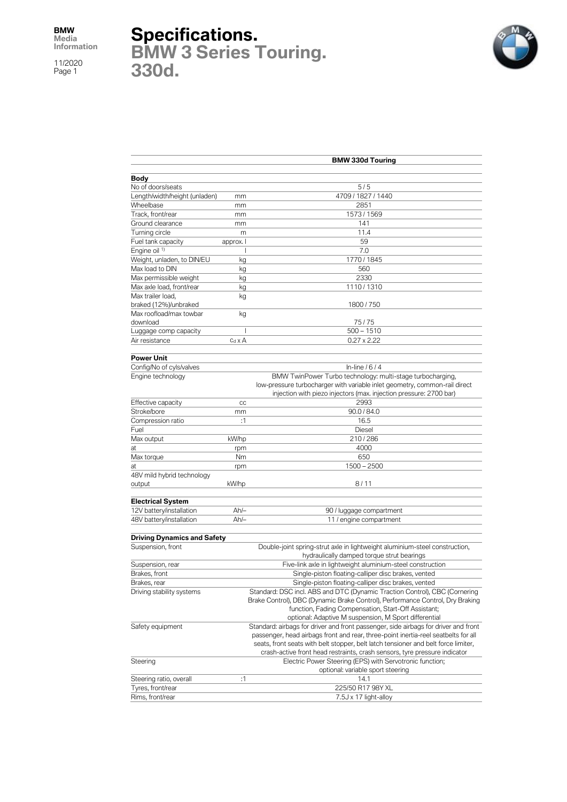## **Specifications.**

**BMW 3 Series Touring. 330d.**



|                                                         | <b>BMW 330d Touring</b> |                                                                                     |  |  |
|---------------------------------------------------------|-------------------------|-------------------------------------------------------------------------------------|--|--|
|                                                         |                         |                                                                                     |  |  |
| Body                                                    |                         |                                                                                     |  |  |
| No of doors/seats                                       |                         | 5/5                                                                                 |  |  |
| Length/width/height (unladen)                           | mm                      | 4709 / 1827 / 1440                                                                  |  |  |
| Wheelbase                                               | mm                      | 2851                                                                                |  |  |
| Track, front/rear                                       | mm                      | 1573 / 1569                                                                         |  |  |
| Ground clearance                                        | mm                      | 141                                                                                 |  |  |
| Turning circle                                          | m                       | 11.4                                                                                |  |  |
| Fuel tank capacity                                      | approx. I               | 59                                                                                  |  |  |
| Engine oil 1)                                           |                         | 7.0                                                                                 |  |  |
| Weight, unladen, to DIN/EU                              | kg                      | 1770 / 1845                                                                         |  |  |
| Max load to DIN<br>kg                                   |                         | 560                                                                                 |  |  |
| Max permissible weight                                  | kg                      | 2330                                                                                |  |  |
| Max axle load, front/rear                               | kg                      | 1110/1310                                                                           |  |  |
| Max trailer load,                                       | kg                      |                                                                                     |  |  |
| braked (12%)/unbraked                                   |                         | 1800 / 750                                                                          |  |  |
| Max roofload/max towbar                                 | kg                      |                                                                                     |  |  |
| download                                                |                         | 75/75                                                                               |  |  |
| Luggage comp capacity                                   | I                       | $500 - 1510$                                                                        |  |  |
| Air resistance                                          | $c_d \times A$          | $0.27 \times 2.22$                                                                  |  |  |
| <b>Power Unit</b>                                       |                         |                                                                                     |  |  |
| Config/No of cyls/valves                                |                         | In-line $/6/4$                                                                      |  |  |
| Engine technology                                       |                         | BMW TwinPower Turbo technology: multi-stage turbocharging,                          |  |  |
|                                                         |                         | low-pressure turbocharger with variable inlet geometry, common-rail direct          |  |  |
|                                                         |                         | injection with piezo injectors (max. injection pressure: 2700 bar)                  |  |  |
| Effective capacity                                      | cc                      | 2993                                                                                |  |  |
| Stroke/bore                                             |                         | 90.0 / 84.0                                                                         |  |  |
| Compression ratio                                       | mm<br>:1                | 16.5                                                                                |  |  |
|                                                         |                         |                                                                                     |  |  |
| Fuel                                                    |                         | <b>Diesel</b>                                                                       |  |  |
| Max output                                              | kW/hp                   | 210/286                                                                             |  |  |
| at                                                      | rpm                     | 4000                                                                                |  |  |
| Max torque                                              | Nm                      | 650                                                                                 |  |  |
| at                                                      | rpm                     | 1500 - 2500                                                                         |  |  |
| 48V mild hybrid technology                              |                         |                                                                                     |  |  |
| output                                                  | kW/hp                   | 8/11                                                                                |  |  |
| <b>Electrical System</b>                                |                         |                                                                                     |  |  |
| 12V battery/installation                                | $Ah/-$                  | 90 / luggage compartment                                                            |  |  |
| 48V battery/installation                                | $Ah/-$                  | 11 / engine compartment                                                             |  |  |
|                                                         |                         |                                                                                     |  |  |
| <b>Driving Dynamics and Safety</b><br>Suspension, front |                         | Double-joint spring-strut axle in lightweight aluminium-steel construction,         |  |  |
|                                                         |                         |                                                                                     |  |  |
|                                                         |                         | hydraulically damped torque strut bearings                                          |  |  |
| Suspension, rear                                        |                         | Five-link axle in lightweight aluminium-steel construction                          |  |  |
| Brakes, front                                           |                         | Single-piston floating-calliper disc brakes, vented                                 |  |  |
| Brakes, rear                                            |                         | Single-piston floating-calliper disc brakes, vented                                 |  |  |
| Driving stability systems                               |                         | Standard: DSC incl. ABS and DTC (Dynamic Traction Control), CBC (Cornering          |  |  |
|                                                         |                         | Brake Control), DBC (Dynamic Brake Control), Performance Control, Dry Braking       |  |  |
|                                                         |                         | function, Fading Compensation, Start-Off Assistant;                                 |  |  |
|                                                         |                         | optional: Adaptive M suspension, M Sport differential                               |  |  |
| Safety equipment                                        |                         | Standard: airbags for driver and front passenger, side airbags for driver and front |  |  |
|                                                         |                         | passenger, head airbags front and rear, three-point inertia-reel seatbelts for all  |  |  |
|                                                         |                         | seats, front seats with belt stopper, belt latch tensioner and belt force limiter,  |  |  |
|                                                         |                         | crash-active front head restraints, crash sensors, tyre pressure indicator          |  |  |
| Steering                                                |                         | Electric Power Steering (EPS) with Servotronic function;                            |  |  |
|                                                         |                         | optional: variable sport steering                                                   |  |  |
| Steering ratio, overall                                 | :1                      | 14.1                                                                                |  |  |
| Tyres, front/rear                                       |                         | 225/50 R17 98Y XL                                                                   |  |  |
| Rims, front/rear                                        |                         | 7.5J x 17 light-alloy                                                               |  |  |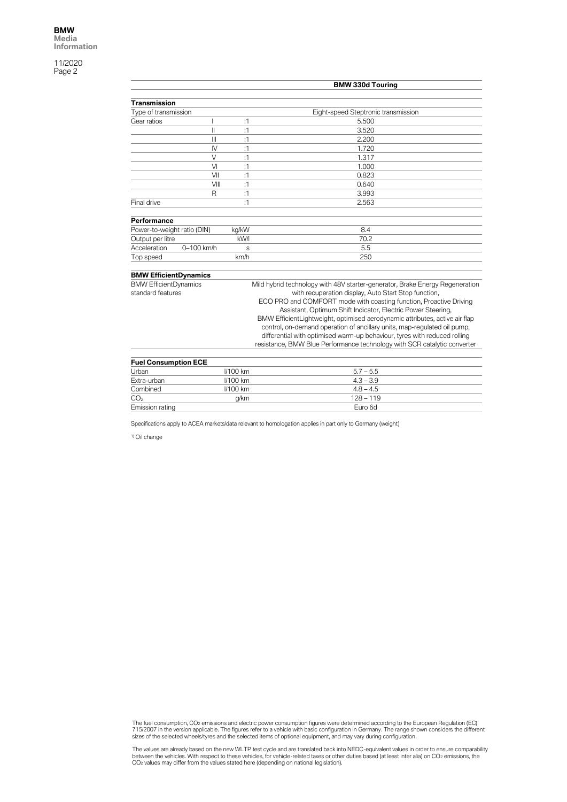|                              |                | <b>BMW 330d Touring</b> |                                                                                                                                                       |  |
|------------------------------|----------------|-------------------------|-------------------------------------------------------------------------------------------------------------------------------------------------------|--|
|                              |                |                         |                                                                                                                                                       |  |
| <b>Transmission</b>          |                |                         |                                                                                                                                                       |  |
| Type of transmission         |                |                         | Eight-speed Steptronic transmission                                                                                                                   |  |
| Gear ratios                  |                | :1                      | 5.500                                                                                                                                                 |  |
|                              | $\mathsf{I}$   | :1                      | 3.520                                                                                                                                                 |  |
|                              | $\mathbf{III}$ | :1                      | 2.200                                                                                                                                                 |  |
|                              | $\mathsf{N}$   | :1                      | 1.720                                                                                                                                                 |  |
|                              | $\vee$         | :1                      | 1.317                                                                                                                                                 |  |
|                              | V <sub>l</sub> | :1                      | 1.000                                                                                                                                                 |  |
|                              | VII            | :1                      | 0.823                                                                                                                                                 |  |
|                              | VIII           | :1                      | 0.640                                                                                                                                                 |  |
|                              | R              | :1                      | 3.993                                                                                                                                                 |  |
| Final drive                  |                | :1                      | 2.563                                                                                                                                                 |  |
|                              |                |                         |                                                                                                                                                       |  |
| Performance                  |                |                         |                                                                                                                                                       |  |
| Power-to-weight ratio (DIN)  |                | kg/kW                   | 8.4                                                                                                                                                   |  |
| Output per litre             |                | kW/I                    | 70.2                                                                                                                                                  |  |
| Acceleration                 | 0-100 km/h     | S                       | 5.5                                                                                                                                                   |  |
| Top speed                    |                | km/h                    | 250                                                                                                                                                   |  |
|                              |                |                         |                                                                                                                                                       |  |
| <b>BMW EfficientDynamics</b> |                |                         |                                                                                                                                                       |  |
| <b>BMW EfficientDynamics</b> |                |                         | Mild hybrid technology with 48V starter-generator, Brake Energy Regeneration                                                                          |  |
| standard features            |                |                         | with recuperation display, Auto Start Stop function,                                                                                                  |  |
|                              |                |                         | ECO PRO and COMFORT mode with coasting function, Proactive Driving                                                                                    |  |
|                              |                |                         | Assistant, Optimum Shift Indicator, Electric Power Steering,                                                                                          |  |
|                              |                |                         | BMW EfficientLightweight, optimised aerodynamic attributes, active air flap                                                                           |  |
|                              |                |                         | control, on-demand operation of ancillary units, map-regulated oil pump,                                                                              |  |
|                              |                |                         | differential with optimised warm-up behaviour, tyres with reduced rolling<br>resistance, BMW Blue Performance technology with SCR catalytic converter |  |
|                              |                |                         |                                                                                                                                                       |  |
| <b>Fuel Consumption ECE</b>  |                |                         |                                                                                                                                                       |  |
| Urban                        |                | <b>I/100 km</b>         | $5.7 - 5.5$                                                                                                                                           |  |
| Extra-urban                  |                | <b>//100 km</b>         | $4.3 - 3.9$                                                                                                                                           |  |
| Combined                     |                | <b>//100 km</b>         | $4.8 - 4.5$                                                                                                                                           |  |
| CO <sub>2</sub>              |                | g/km                    | $128 - 119$                                                                                                                                           |  |
| Emission rating              |                |                         | Euro 6d                                                                                                                                               |  |

Specifications apply to ACEA markets/data relevant to homologation applies in part only to Germany (weight)

1) Oil change

The fuel consumption, CO2 emissions and electric power consumption figures were determined according to the European Regulation (EC)<br>715/2007 in the version applicable. The figures refer to a vehicle with basic configurati

The values are already based on the new WLTP test cycle and are translated back into NEDC-equivalent values in order to ensure comparability<br>between the vehicles. With respect to these vehicles, for vehicle-related taxes o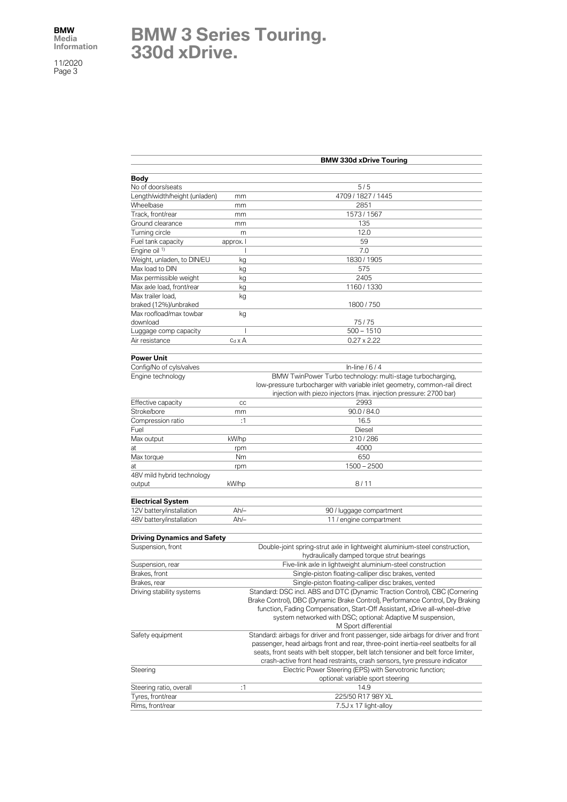## **BMW 3 Series Touring. 330d xDrive.**

|                                    | <b>BMW 330d xDrive Touring</b> |                                                                                                             |  |
|------------------------------------|--------------------------------|-------------------------------------------------------------------------------------------------------------|--|
|                                    |                                |                                                                                                             |  |
| Body                               |                                |                                                                                                             |  |
| No of doors/seats                  |                                | 5/5                                                                                                         |  |
| Length/width/height (unladen)      | mm                             | 4709 / 1827 / 1445                                                                                          |  |
| Wheelbase                          | mm                             | 2851                                                                                                        |  |
| Track, front/rear                  | mm                             | 1573/1567                                                                                                   |  |
| Ground clearance                   | mm                             | 135                                                                                                         |  |
| Turning circle                     | m                              | 12.0                                                                                                        |  |
| Fuel tank capacity                 | approx. I                      | 59                                                                                                          |  |
| Engine oil <sup>1)</sup>           | ı                              | 7.0                                                                                                         |  |
| Weight, unladen, to DIN/EU         | kg                             | 1830 / 1905                                                                                                 |  |
| Max load to DIN                    | kg                             | 575                                                                                                         |  |
| Max permissible weight             | kg                             | 2405                                                                                                        |  |
| Max axle load, front/rear          | kg                             | 1160 / 1330                                                                                                 |  |
| Max trailer load,                  | kg                             |                                                                                                             |  |
| braked (12%)/unbraked              |                                | 1800 / 750                                                                                                  |  |
| Max roofload/max towbar            | kg                             |                                                                                                             |  |
| download                           | I                              | 75/75<br>$500 - 1510$                                                                                       |  |
| Luggage comp capacity              |                                |                                                                                                             |  |
| Air resistance                     | $c_d \times A$                 | $0.27 \times 2.22$                                                                                          |  |
| <b>Power Unit</b>                  |                                |                                                                                                             |  |
| Config/No of cyls/valves           |                                | In-line $/6/4$                                                                                              |  |
| Engine technology                  |                                | BMW TwinPower Turbo technology: multi-stage turbocharging,                                                  |  |
|                                    |                                | low-pressure turbocharger with variable inlet geometry, common-rail direct                                  |  |
|                                    |                                | injection with piezo injectors (max. injection pressure: 2700 bar)                                          |  |
| Effective capacity                 | cc                             | 2993                                                                                                        |  |
| Stroke/bore                        | mm                             | 90.0 / 84.0                                                                                                 |  |
| Compression ratio                  | :1                             | 16.5                                                                                                        |  |
| Fuel                               |                                | <b>Diesel</b>                                                                                               |  |
| Max output                         | kW/hp                          | 210/286                                                                                                     |  |
| at                                 | rpm                            | 4000                                                                                                        |  |
| Max torque                         | Nm                             | 650                                                                                                         |  |
| at                                 | rpm                            | $1500 - 2500$                                                                                               |  |
| 48V mild hybrid technology         |                                |                                                                                                             |  |
| output                             | kW/hp                          | 8/11                                                                                                        |  |
|                                    |                                |                                                                                                             |  |
| <b>Electrical System</b>           |                                |                                                                                                             |  |
| 12V battery/installation           | $Ah/-$                         | 90 / luggage compartment                                                                                    |  |
| 48V battery/installation           | $Ah/-$                         | 11 / engine compartment                                                                                     |  |
|                                    |                                |                                                                                                             |  |
| <b>Driving Dynamics and Safety</b> |                                |                                                                                                             |  |
| Suspension, front                  |                                | Double-joint spring-strut axle in lightweight aluminium-steel construction,                                 |  |
|                                    |                                | hydraulically damped torque strut bearings                                                                  |  |
| Suspension, rear                   |                                | Five-link axle in lightweight aluminium-steel construction                                                  |  |
| Brakes, front                      |                                | Single-piston floating-calliper disc brakes, vented                                                         |  |
| Brakes, rear                       |                                | Single-piston floating-calliper disc brakes, vented                                                         |  |
| Driving stability systems          |                                | Standard: DSC incl. ABS and DTC (Dynamic Traction Control), CBC (Cornering                                  |  |
|                                    |                                | Brake Control), DBC (Dynamic Brake Control), Performance Control, Dry Braking                               |  |
|                                    |                                | function, Fading Compensation, Start-Off Assistant, xDrive all-wheel-drive                                  |  |
|                                    |                                | system networked with DSC; optional: Adaptive M suspension,                                                 |  |
| Safety equipment                   |                                | M Sport differential<br>Standard: airbags for driver and front passenger, side airbags for driver and front |  |
|                                    |                                | passenger, head airbags front and rear, three-point inertia-reel seatbelts for all                          |  |
|                                    |                                | seats, front seats with belt stopper, belt latch tensioner and belt force limiter,                          |  |
|                                    |                                | crash-active front head restraints, crash sensors, tyre pressure indicator                                  |  |
| Steering                           |                                | Electric Power Steering (EPS) with Servotronic function;                                                    |  |
|                                    |                                | optional: variable sport steering                                                                           |  |
| Steering ratio, overall            | :1                             | 14.9                                                                                                        |  |
| Tyres, front/rear                  |                                | 225/50 R17 98Y XL                                                                                           |  |
| Rims, front/rear                   |                                | 7.5J x 17 light-alloy                                                                                       |  |
|                                    |                                |                                                                                                             |  |